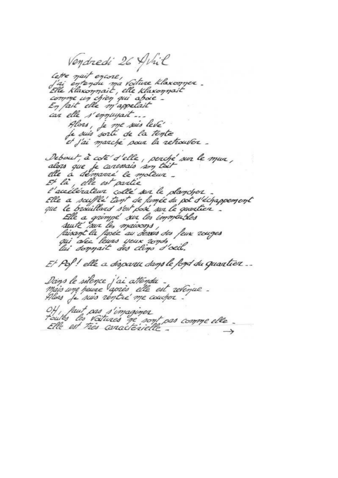Vendredi 26 Avril letre nuit encore,<br>La entendu ma voiture klaxonner.<br>Elle klaxonnait, elle klaxonnait comme un chien qui aboie. car elle s'empuyait... Alors, je me suis levé<br>je suis sorti de la tente et j'ai marché sour la retrouver. Debout, à coté d'elle, perché sur le mur, alors que je carenais son toit Et là, elle est partie l'accélérateur collé sur le plancher Elle a scuffle' tant de fumée du pot d'échappement Elle a grimpé sur les immérfiles Et Pof! elle a disparu dans le fond du quantier... Dans le silence j'ai attendu<br>mais une peure après elle est revenue.<br>Alors je suis réntre me coucher. 04, faut pas s'imaginer  $\rightarrow$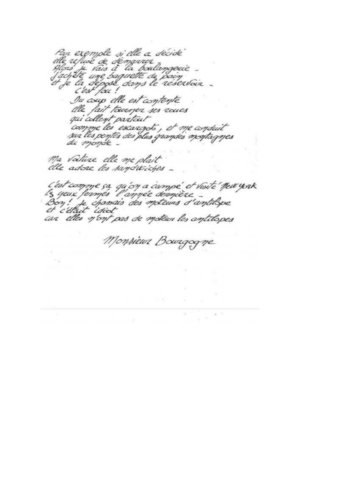Par exemple si elle a décide<br>elle refuse de démarrer<br>plois je vais à la boulamgeuie<br>factité une baguette de pain<br>et je la dépose dans le réservoir -<br>c'est fou ! Ou coup elle est contente elle fait tourner ses roues qui collent partait 'comme les escargots, et me conduit<br>sur les pentes des plus grandes montagnes Ma voituze elle me plait

C'est comme ça qu'on a campé et visité "New york"<br>Les yeux fermés l'ampée dernière<br>Bon : Je chanais des moteurs d'amtilique car elles n'ont pas de motéur les antilopes

Monsieur Bourgogne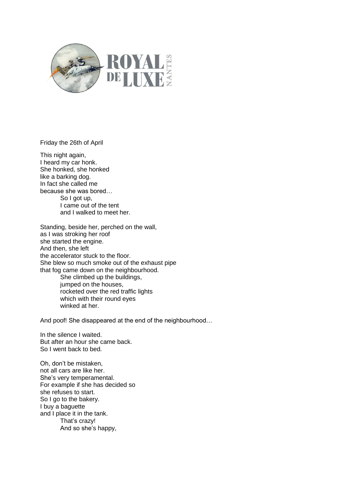

Friday the 26th of April

This night again, I heard my car honk. She honked, she honked like a barking dog. In fact she called me because she was bored… So I got up, I came out of the tent and I walked to meet her.

Standing, beside her, perched on the wall, as I was stroking her roof she started the engine. And then, she left the accelerator stuck to the floor. She blew so much smoke out of the exhaust pipe that fog came down on the neighbourhood.

She climbed up the buildings, jumped on the houses, rocketed over the red traffic lights which with their round eyes winked at her.

And poof! She disappeared at the end of the neighbourhood…

In the silence I waited. But after an hour she came back. So I went back to bed.

Oh, don't be mistaken, not all cars are like her. She's very temperamental. For example if she has decided so she refuses to start. So I go to the bakery. I buy a baguette and I place it in the tank. That's crazy! And so she's happy,